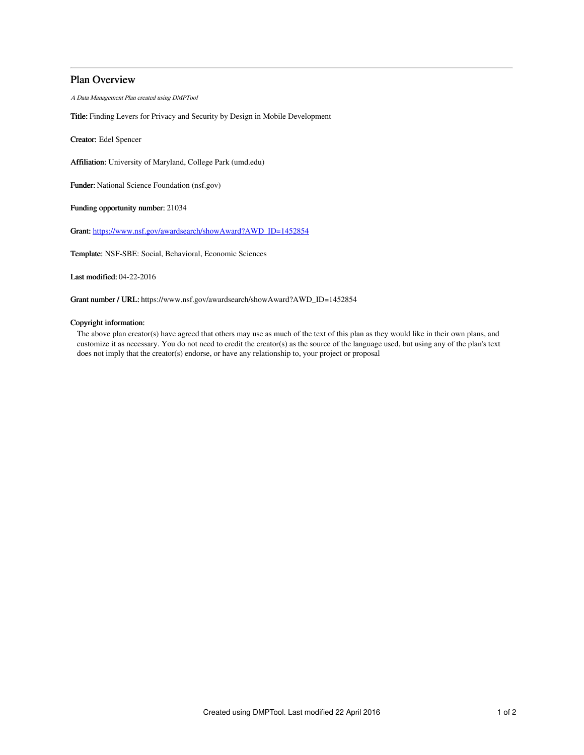# Plan Overview

A Data Management Plan created using DMPTool

Title: Finding Levers for Privacy and Security by Design in Mobile Development

Creator: Edel Spencer

Affiliation: University of Maryland, College Park (umd.edu)

Funder: National Science Foundation (nsf.gov)

Funding opportunity number: 21034

Grant: [https://www.nsf.gov/awardsearch/showAward?AWD\\_ID=1452854](https://www.nsf.gov/awardsearch/showAward?AWD_ID=1452854)

Template: NSF-SBE: Social, Behavioral, Economic Sciences

Last modified: 04-22-2016

Grant number / URL: https://www.nsf.gov/awardsearch/showAward?AWD\_ID=1452854

## Copyright information:

The above plan creator(s) have agreed that others may use as much of the text of this plan as they would like in their own plans, and customize it as necessary. You do not need to credit the creator(s) as the source of the language used, but using any of the plan's text does not imply that the creator(s) endorse, or have any relationship to, your project or proposal